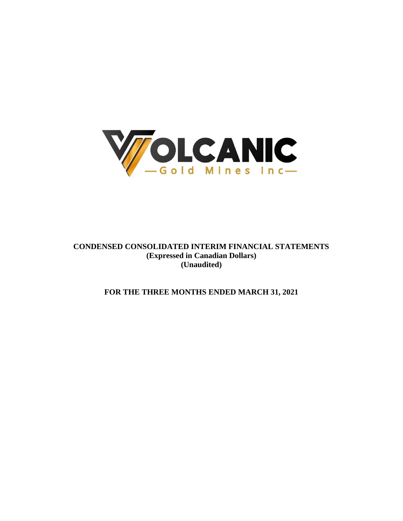

**CONDENSED CONSOLIDATED INTERIM FINANCIAL STATEMENTS (Expressed in Canadian Dollars) (Unaudited)**

**FOR THE THREE MONTHS ENDED MARCH 31, 2021**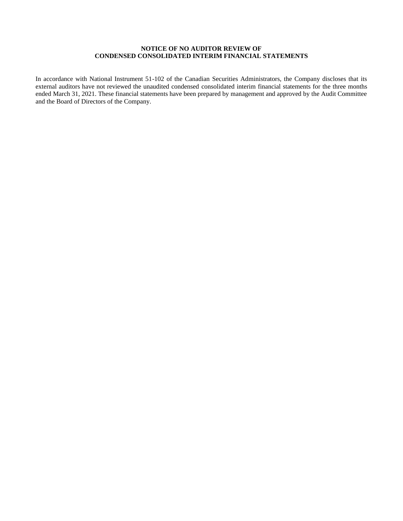# **NOTICE OF NO AUDITOR REVIEW OF CONDENSED CONSOLIDATED INTERIM FINANCIAL STATEMENTS**

In accordance with National Instrument 51-102 of the Canadian Securities Administrators, the Company discloses that its external auditors have not reviewed the unaudited condensed consolidated interim financial statements for the three months ended March 31, 2021. These financial statements have been prepared by management and approved by the Audit Committee and the Board of Directors of the Company.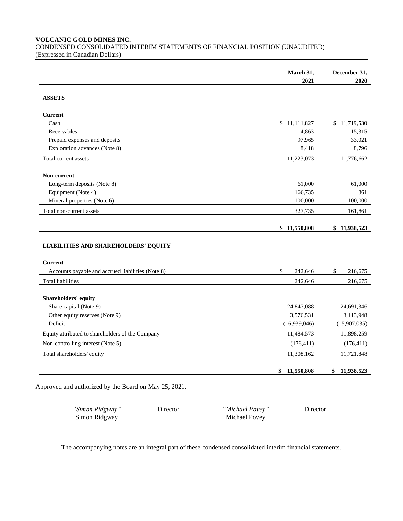**VOLCANIC GOLD MINES INC.**

CONDENSED CONSOLIDATED INTERIM STATEMENTS OF FINANCIAL POSITION (UNAUDITED) (Expressed in Canadian Dollars)

|                                                   | March 31,                  | December 31,               |
|---------------------------------------------------|----------------------------|----------------------------|
|                                                   | 2021                       | 2020                       |
| <b>ASSETS</b>                                     |                            |                            |
| <b>Current</b>                                    |                            |                            |
| Cash                                              | \$11,111,827               | \$11,719,530               |
| Receivables                                       | 4,863                      | 15,315                     |
| Prepaid expenses and deposits                     | 97,965                     | 33,021                     |
| Exploration advances (Note 8)                     | 8,418                      | 8,796                      |
| Total current assets                              | 11,223,073                 | 11,776,662                 |
| Non-current                                       |                            |                            |
| Long-term deposits (Note 8)                       | 61,000                     | 61,000                     |
| Equipment (Note 4)                                | 166,735                    | 861                        |
| Mineral properties (Note 6)                       | 100,000                    | 100,000                    |
| Total non-current assets                          | 327,735                    | 161,861                    |
|                                                   |                            |                            |
|                                                   | \$11,550,808               | \$11,938,523               |
|                                                   |                            |                            |
| <b>LIABILITIES AND SHAREHOLDERS' EQUITY</b>       |                            |                            |
| <b>Current</b>                                    |                            |                            |
| Accounts payable and accrued liabilities (Note 8) | \$<br>242,646              | \$<br>216,675              |
| <b>Total liabilities</b>                          | 242,646                    | 216,675                    |
|                                                   |                            |                            |
| Shareholders' equity                              |                            |                            |
| Share capital (Note 9)                            | 24,847,088                 | 24,691,346                 |
| Other equity reserves (Note 9)<br>Deficit         | 3,576,531                  | 3,113,948                  |
| Equity attributed to shareholders of the Company  | (16,939,046)<br>11,484,573 | (15,907,035)<br>11,898,259 |
| Non-controlling interest (Note 5)                 | (176, 411)                 | (176, 411)                 |
| Total shareholders' equity                        | 11,308,162                 | 11,721,848                 |

Approved and authorized by the Board on May 25, 2021.

| "Simon Ridgway" | <b>Jirector</b> | "Michael Povev" | Jirector |
|-----------------|-----------------|-----------------|----------|
| Simon Ridgway   |                 | Michael Povey   |          |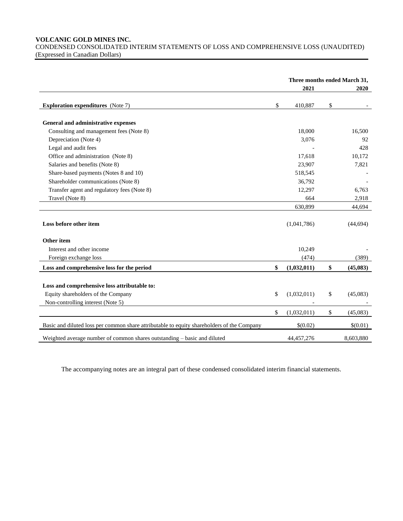## **VOLCANIC GOLD MINES INC.**

CONDENSED CONSOLIDATED INTERIM STATEMENTS OF LOSS AND COMPREHENSIVE LOSS (UNAUDITED) (Expressed in Canadian Dollars)

|                                                                                            | Three months ended March 31, |                |
|--------------------------------------------------------------------------------------------|------------------------------|----------------|
|                                                                                            | 2021                         | 2020           |
| <b>Exploration expenditures</b> (Note 7)                                                   | \$<br>410,887                | \$             |
| General and administrative expenses                                                        |                              |                |
| Consulting and management fees (Note 8)                                                    | 18,000                       | 16,500         |
| Depreciation (Note 4)                                                                      | 3,076                        | 92             |
| Legal and audit fees                                                                       |                              | 428            |
| Office and administration (Note 8)                                                         | 17,618                       | 10,172         |
| Salaries and benefits (Note 8)                                                             | 23,907                       | 7,821          |
| Share-based payments (Notes 8 and 10)                                                      | 518,545                      |                |
| Shareholder communications (Note 8)                                                        | 36,792                       |                |
| Transfer agent and regulatory fees (Note 8)                                                | 12,297                       | 6,763          |
| Travel (Note 8)                                                                            | 664                          | 2,918          |
|                                                                                            | 630,899                      | 44,694         |
| Loss before other item                                                                     | (1,041,786)                  | (44, 694)      |
| Other item                                                                                 |                              |                |
| Interest and other income                                                                  | 10,249                       |                |
| Foreign exchange loss                                                                      | (474)                        | (389)          |
| Loss and comprehensive loss for the period                                                 | \$<br>(1,032,011)            | \$<br>(45,083) |
| Loss and comprehensive loss attributable to:                                               |                              |                |
| Equity shareholders of the Company                                                         | \$<br>(1,032,011)            | \$<br>(45,083) |
| Non-controlling interest (Note 5)                                                          |                              |                |
|                                                                                            | \$<br>(1,032,011)            | \$<br>(45,083) |
| Basic and diluted loss per common share attributable to equity shareholders of the Company | \$(0.02)                     | \$(0.01)       |
| Weighted average number of common shares outstanding - basic and diluted                   | 44, 457, 276                 | 8,603,880      |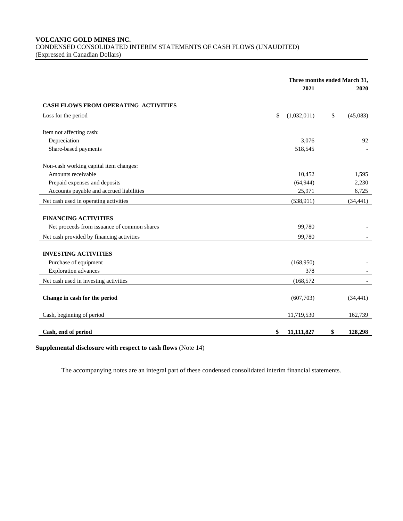# **VOLCANIC GOLD MINES INC.** CONDENSED CONSOLIDATED INTERIM STATEMENTS OF CASH FLOWS (UNAUDITED) (Expressed in Canadian Dollars)

|                                             |                   | Three months ended March 31, |
|---------------------------------------------|-------------------|------------------------------|
|                                             | 2021              | 2020                         |
|                                             |                   |                              |
| <b>CASH FLOWS FROM OPERATING ACTIVITIES</b> |                   |                              |
| Loss for the period                         | \$<br>(1,032,011) | \$<br>(45,083)               |
| Item not affecting cash:                    |                   |                              |
| Depreciation                                | 3,076             | 92                           |
| Share-based payments                        | 518,545           |                              |
| Non-cash working capital item changes:      |                   |                              |
| Amounts receivable                          | 10,452            | 1,595                        |
| Prepaid expenses and deposits               | (64, 944)         | 2,230                        |
| Accounts payable and accrued liabilities    | 25,971            | 6,725                        |
| Net cash used in operating activities       | (538, 911)        | (34, 441)                    |
| <b>FINANCING ACTIVITIES</b>                 |                   |                              |
| Net proceeds from issuance of common shares | 99,780            |                              |
| Net cash provided by financing activities   | 99,780            |                              |
| <b>INVESTING ACTIVITIES</b>                 |                   |                              |
| Purchase of equipment                       | (168,950)         |                              |
| <b>Exploration</b> advances                 | 378               |                              |
|                                             |                   |                              |
| Net cash used in investing activities       | (168, 572)        |                              |
| Change in cash for the period               | (607,703)         | (34, 441)                    |
| Cash, beginning of period                   | 11,719,530        | 162,739                      |
| Cash, end of period                         | 11,111,827<br>\$  | \$<br>128,298                |

**Supplemental disclosure with respect to cash flows** (Note 14)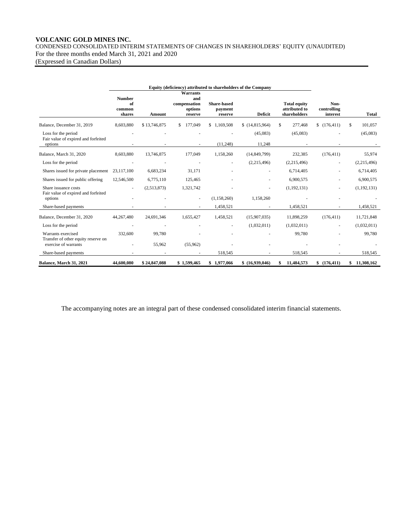# **VOLCANIC GOLD MINES INC.** CONDENSED CONSOLIDATED INTERIM STATEMENTS OF CHANGES IN SHAREHOLDERS' EQUITY (UNAUDITED) For the three months ended March 31, 2021 and 2020

(Expressed in Canadian Dollars)

|                                                             | Equity (deficiency) attributed to shareholders of the Company |              |                                                       |                                          |                 |                                                      |                                 |                |
|-------------------------------------------------------------|---------------------------------------------------------------|--------------|-------------------------------------------------------|------------------------------------------|-----------------|------------------------------------------------------|---------------------------------|----------------|
|                                                             | <b>Number</b><br>of<br>common<br>shares                       | Amount       | Warrants<br>and<br>compensation<br>options<br>reserve | <b>Share-based</b><br>payment<br>reserve | <b>Deficit</b>  | <b>Total equity</b><br>attributed to<br>shareholders | Non-<br>controlling<br>interest | Total          |
| Balance, December 31, 2019                                  | 8,603,880                                                     | \$13,746,875 | 177,049                                               | \$1,169,508                              | \$(14,815,964)  | 277,468<br>\$                                        | \$(176, 411)                    | \$.<br>101,057 |
| Loss for the period<br>Fair value of expired and forfeited  |                                                               |              |                                                       |                                          | (45,083)        | (45,083)                                             |                                 | (45,083)       |
| options                                                     |                                                               |              |                                                       | (11,248)                                 | 11,248          |                                                      |                                 |                |
| Balance, March 31, 2020                                     | 8,603,880                                                     | 13,746,875   | 177,049                                               | 1,158,260                                | (14, 849, 799)  | 232,385                                              | (176, 411)                      | 55,974         |
| Loss for the period                                         |                                                               |              | $\overline{\phantom{a}}$                              | $\overline{\phantom{a}}$                 | (2,215,496)     | (2,215,496)                                          | $\overline{\phantom{a}}$        | (2,215,496)    |
| Shares issued for private placement                         | 23,117,100                                                    | 6,683,234    | 31,171                                                |                                          |                 | 6,714,405                                            |                                 | 6,714,405      |
| Shares issued for public offering                           | 12,546,500                                                    | 6,775,110    | 125,465                                               |                                          |                 | 6,900,575                                            |                                 | 6,900,575      |
| Share issuance costs<br>Fair value of expired and forfeited |                                                               | (2,513,873)  | 1,321,742                                             |                                          |                 | (1, 192, 131)                                        |                                 | (1, 192, 131)  |
| options                                                     |                                                               |              | ٠                                                     | (1,158,260)                              | 1,158,260       |                                                      |                                 |                |
| Share-based payments                                        |                                                               |              |                                                       | 1,458,521                                |                 | 1,458,521                                            |                                 | 1,458,521      |
| Balance, December 31, 2020                                  | 44,267,480                                                    | 24,691,346   | 1,655,427                                             | 1,458,521                                | (15,907,035)    | 11,898,259                                           | (176, 411)                      | 11,721,848     |
| Loss for the period                                         |                                                               |              |                                                       | ٠                                        | (1,032,011)     | (1,032,011)                                          |                                 | (1,032,011)    |
| Warrants exercised<br>Transfer of other equity reserve on   | 332,600                                                       | 99,780       |                                                       |                                          |                 | 99,780                                               |                                 | 99,780         |
| exercise of warrants                                        |                                                               | 55,962       | (55,962)                                              |                                          |                 |                                                      |                                 |                |
| Share-based payments                                        |                                                               |              |                                                       | 518,545                                  |                 | 518,545                                              |                                 | 518,545        |
| Balance, March 31, 2021                                     | 44,600,080                                                    | \$24,847,088 | \$1,599,465                                           | \$1,977,066                              | \$ (16,939,046) | 11,484,573<br>S                                      | \$(176, 411)                    | \$11,308,162   |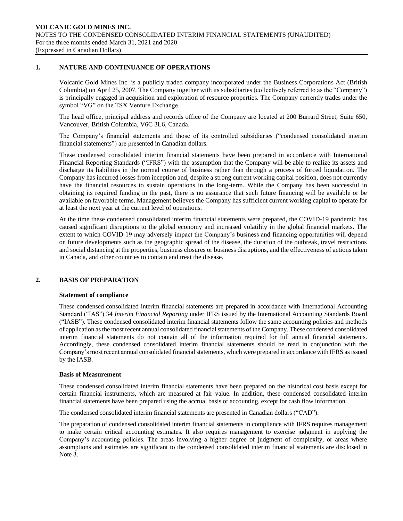## **1. NATURE AND CONTINUANCE OF OPERATIONS**

Volcanic Gold Mines Inc. is a publicly traded company incorporated under the Business Corporations Act (British Columbia) on April 25, 2007. The Company together with its subsidiaries (collectively referred to as the "Company") is principally engaged in acquisition and exploration of resource properties. The Company currently trades under the symbol "VG" on the TSX Venture Exchange.

The head office, principal address and records office of the Company are located at 200 Burrard Street, Suite 650, Vancouver, British Columbia, V6C 3L6, Canada.

The Company's financial statements and those of its controlled subsidiaries ("condensed consolidated interim financial statements") are presented in Canadian dollars.

These condensed consolidated interim financial statements have been prepared in accordance with International Financial Reporting Standards ("IFRS") with the assumption that the Company will be able to realize its assets and discharge its liabilities in the normal course of business rather than through a process of forced liquidation. The Company has incurred losses from inception and, despite a strong current working capital position, does not currently have the financial resources to sustain operations in the long-term. While the Company has been successful in obtaining its required funding in the past, there is no assurance that such future financing will be available or be available on favorable terms. Management believes the Company has sufficient current working capital to operate for at least the next year at the current level of operations.

At the time these condensed consolidated interim financial statements were prepared, the COVID-19 pandemic has caused significant disruptions to the global economy and increased volatility in the global financial markets. The extent to which COVID-19 may adversely impact the Company's business and financing opportunities will depend on future developments such as the geographic spread of the disease, the duration of the outbreak, travel restrictions and social distancing at the properties, business closures or business disruptions, and the effectiveness of actions taken in Canada, and other countries to contain and treat the disease.

# **2. BASIS OF PREPARATION**

## **Statement of compliance**

These condensed consolidated interim financial statements are prepared in accordance with International Accounting Standard ("IAS") 34 *Interim Financial Reporting* under IFRS issued by the International Accounting Standards Board ("IASB"). These condensed consolidated interim financial statements follow the same accounting policies and methods of application as the most recent annual consolidated financial statements of the Company. These condensed consolidated interim financial statements do not contain all of the information required for full annual financial statements. Accordingly, these condensed consolidated interim financial statements should be read in conjunction with the Company's most recent annual consolidated financial statements, which were prepared in accordance with IFRS as issued by the IASB.

## **Basis of Measurement**

These condensed consolidated interim financial statements have been prepared on the historical cost basis except for certain financial instruments, which are measured at fair value. In addition, these condensed consolidated interim financial statements have been prepared using the accrual basis of accounting, except for cash flow information.

The condensed consolidated interim financial statements are presented in Canadian dollars ("CAD").

The preparation of condensed consolidated interim financial statements in compliance with IFRS requires management to make certain critical accounting estimates. It also requires management to exercise judgment in applying the Company's accounting policies. The areas involving a higher degree of judgment of complexity, or areas where assumptions and estimates are significant to the condensed consolidated interim financial statements are disclosed in Note 3.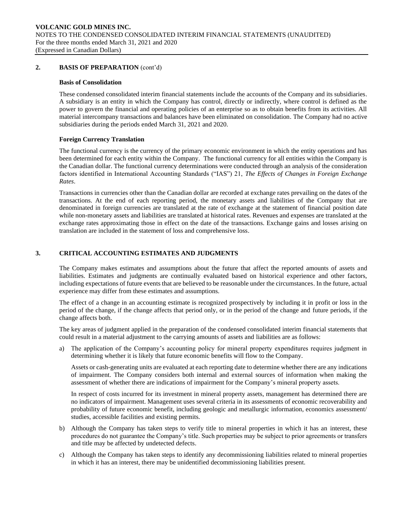## **2. BASIS OF PREPARATION** (cont'd)

#### **Basis of Consolidation**

These condensed consolidated interim financial statements include the accounts of the Company and its subsidiaries. A subsidiary is an entity in which the Company has control, directly or indirectly, where control is defined as the power to govern the financial and operating policies of an enterprise so as to obtain benefits from its activities. All material intercompany transactions and balances have been eliminated on consolidation. The Company had no active subsidiaries during the periods ended March 31, 2021 and 2020.

## **Foreign Currency Translation**

The functional currency is the currency of the primary economic environment in which the entity operations and has been determined for each entity within the Company. The functional currency for all entities within the Company is the Canadian dollar. The functional currency determinations were conducted through an analysis of the consideration factors identified in International Accounting Standards ("IAS") 21, *The Effects of Changes in Foreign Exchange Rates*.

Transactions in currencies other than the Canadian dollar are recorded at exchange rates prevailing on the dates of the transactions. At the end of each reporting period, the monetary assets and liabilities of the Company that are denominated in foreign currencies are translated at the rate of exchange at the statement of financial position date while non-monetary assets and liabilities are translated at historical rates. Revenues and expenses are translated at the exchange rates approximating those in effect on the date of the transactions. Exchange gains and losses arising on translation are included in the statement of loss and comprehensive loss.

# **3. CRITICAL ACCOUNTING ESTIMATES AND JUDGMENTS**

The Company makes estimates and assumptions about the future that affect the reported amounts of assets and liabilities. Estimates and judgments are continually evaluated based on historical experience and other factors, including expectations of future events that are believed to be reasonable under the circumstances. In the future, actual experience may differ from these estimates and assumptions.

The effect of a change in an accounting estimate is recognized prospectively by including it in profit or loss in the period of the change, if the change affects that period only, or in the period of the change and future periods, if the change affects both.

The key areas of judgment applied in the preparation of the condensed consolidated interim financial statements that could result in a material adjustment to the carrying amounts of assets and liabilities are as follows:

a) The application of the Company's accounting policy for mineral property expenditures requires judgment in determining whether it is likely that future economic benefits will flow to the Company.

Assets or cash-generating units are evaluated at each reporting date to determine whether there are any indications of impairment. The Company considers both internal and external sources of information when making the assessment of whether there are indications of impairment for the Company's mineral property assets.

In respect of costs incurred for its investment in mineral property assets, management has determined there are no indicators of impairment. Management uses several criteria in its assessments of economic recoverability and probability of future economic benefit, including geologic and metallurgic information, economics assessment/ studies, accessible facilities and existing permits.

- b) Although the Company has taken steps to verify title to mineral properties in which it has an interest, these procedures do not guarantee the Company's title. Such properties may be subject to prior agreements or transfers and title may be affected by undetected defects.
- c) Although the Company has taken steps to identify any decommissioning liabilities related to mineral properties in which it has an interest, there may be unidentified decommissioning liabilities present.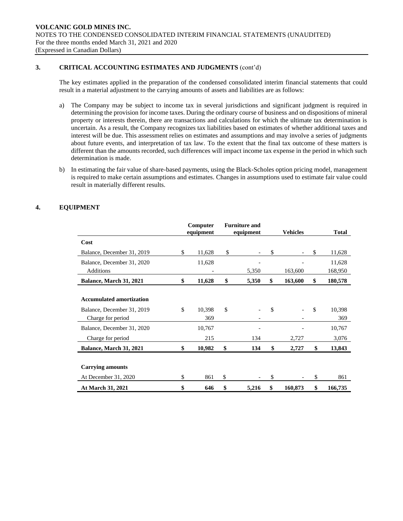# **3. CRITICAL ACCOUNTING ESTIMATES AND JUDGMENTS** (cont'd)

The key estimates applied in the preparation of the condensed consolidated interim financial statements that could result in a material adjustment to the carrying amounts of assets and liabilities are as follows:

- a) The Company may be subject to income tax in several jurisdictions and significant judgment is required in determining the provision for income taxes. During the ordinary course of business and on dispositions of mineral property or interests therein, there are transactions and calculations for which the ultimate tax determination is uncertain. As a result, the Company recognizes tax liabilities based on estimates of whether additional taxes and interest will be due. This assessment relies on estimates and assumptions and may involve a series of judgments about future events, and interpretation of tax law. To the extent that the final tax outcome of these matters is different than the amounts recorded, such differences will impact income tax expense in the period in which such determination is made.
- b) In estimating the fair value of share-based payments, using the Black-Scholes option pricing model, management is required to make certain assumptions and estimates. Changes in assumptions used to estimate fair value could result in materially different results.

# **4. EQUIPMENT**

|                                 | Computer<br>equipment | <b>Furniture and</b><br>equipment | <b>Vehicles</b> |     | <b>Total</b> |
|---------------------------------|-----------------------|-----------------------------------|-----------------|-----|--------------|
| Cost                            |                       |                                   |                 |     |              |
| Balance, December 31, 2019      | \$<br>11,628          | \$                                | \$              | \$. | 11,628       |
| Balance, December 31, 2020      | 11,628                |                                   |                 |     | 11,628       |
| <b>Additions</b>                |                       | 5,350                             | 163,600         |     | 168,950      |
| Balance, March 31, 2021         | \$<br>11,628          | \$<br>5,350                       | \$<br>163,600   | \$  | 180,578      |
|                                 |                       |                                   |                 |     |              |
| <b>Accumulated amortization</b> |                       |                                   |                 |     |              |
| Balance, December 31, 2019      | \$<br>10,398          | \$                                | \$              | \$  | 10,398       |
| Charge for period               | 369                   |                                   |                 |     | 369          |
| Balance, December 31, 2020      | 10,767                |                                   |                 |     | 10,767       |
| Charge for period               | 215                   | 134                               | 2,727           |     | 3,076        |
| Balance, March 31, 2021         | \$<br>10,982          | \$<br>134                         | \$<br>2,727     | \$  | 13,843       |
|                                 |                       |                                   |                 |     |              |
| <b>Carrying amounts</b>         |                       |                                   |                 |     |              |
| At December 31, 2020            | \$<br>861             | \$                                | \$              | \$  | 861          |
| At March 31, 2021               | \$<br>646             | \$<br>5,216                       | \$<br>160,873   | \$  | 166,735      |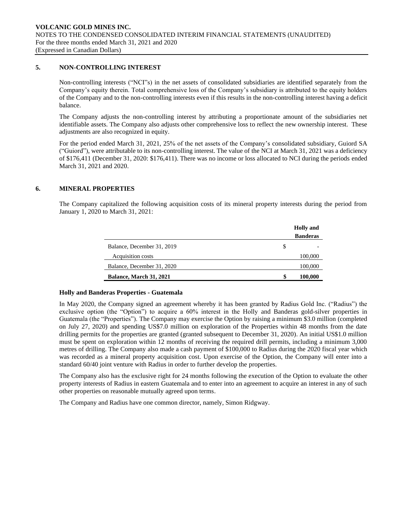# **5. NON-CONTROLLING INTEREST**

Non-controlling interests ("NCI"s) in the net assets of consolidated subsidiaries are identified separately from the Company's equity therein. Total comprehensive loss of the Company's subsidiary is attributed to the equity holders of the Company and to the non-controlling interests even if this results in the non-controlling interest having a deficit balance.

The Company adjusts the non-controlling interest by attributing a proportionate amount of the subsidiaries net identifiable assets. The Company also adjusts other comprehensive loss to reflect the new ownership interest. These adjustments are also recognized in equity.

For the period ended March 31, 2021, 25% of the net assets of the Company's consolidated subsidiary, Guiord SA ("Guiord"), were attributable to its non-controlling interest. The value of the NCI at March 31, 2021 was a deficiency of \$176,411 (December 31, 2020: \$176,411). There was no income or loss allocated to NCI during the periods ended March 31, 2021 and 2020.

## **6. MINERAL PROPERTIES**

The Company capitalized the following acquisition costs of its mineral property interests during the period from January 1, 2020 to March 31, 2021:

|                                | <b>Holly</b> and |
|--------------------------------|------------------|
|                                | <b>Banderas</b>  |
| Balance, December 31, 2019     | \$               |
| Acquisition costs              | 100,000          |
| Balance, December 31, 2020     | 100,000          |
| <b>Balance, March 31, 2021</b> | \$<br>100,000    |

## **Holly and Banderas Properties - Guatemala**

In May 2020, the Company signed an agreement whereby it has been granted by Radius Gold Inc. ("Radius") the exclusive option (the "Option") to acquire a 60% interest in the Holly and Banderas gold-silver properties in Guatemala (the "Properties"). The Company may exercise the Option by raising a minimum \$3.0 million (completed on July 27, 2020) and spending US\$7.0 million on exploration of the Properties within 48 months from the date drilling permits for the properties are granted (granted subsequent to December 31, 2020). An initial US\$1.0 million must be spent on exploration within 12 months of receiving the required drill permits, including a minimum 3,000 metres of drilling. The Company also made a cash payment of \$100,000 to Radius during the 2020 fiscal year which was recorded as a mineral property acquisition cost. Upon exercise of the Option, the Company will enter into a standard 60/40 joint venture with Radius in order to further develop the properties.

The Company also has the exclusive right for 24 months following the execution of the Option to evaluate the other property interests of Radius in eastern Guatemala and to enter into an agreement to acquire an interest in any of such other properties on reasonable mutually agreed upon terms.

The Company and Radius have one common director, namely, Simon Ridgway.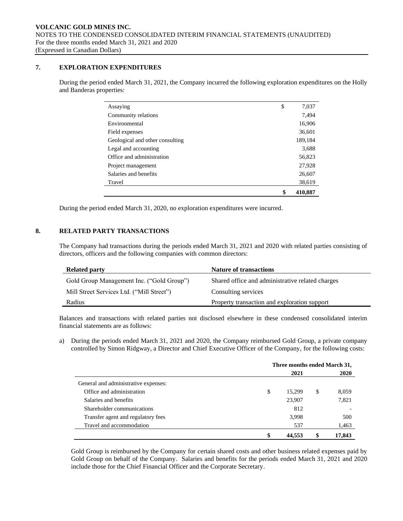# **7. EXPLORATION EXPENDITURES**

During the period ended March 31, 2021, the Company incurred the following exploration expenditures on the Holly and Banderas properties:

|                                 | \$<br>410.887 |
|---------------------------------|---------------|
| Travel                          | 38,619        |
| Salaries and benefits           | 26,607        |
| Project management              | 27,928        |
| Office and administration       | 56,823        |
| Legal and accounting            | 3,688         |
| Geological and other consulting | 189,184       |
| Field expenses                  | 36,601        |
| Environmental                   | 16,906        |
| Community relations             | 7,494         |
| Assaying                        | \$<br>7,037   |
|                                 |               |

During the period ended March 31, 2020, no exploration expenditures were incurred.

## **8. RELATED PARTY TRANSACTIONS**

The Company had transactions during the periods ended March 31, 2021 and 2020 with related parties consisting of directors, officers and the following companies with common directors:

| <b>Related party</b>                      | <b>Nature of transactions</b>                    |
|-------------------------------------------|--------------------------------------------------|
| Gold Group Management Inc. ("Gold Group") | Shared office and administrative related charges |
| Mill Street Services Ltd. ("Mill Street") | Consulting services                              |
| Radius                                    | Property transaction and exploration support     |

Balances and transactions with related parties not disclosed elsewhere in these condensed consolidated interim financial statements are as follows:

a) During the periods ended March 31, 2021 and 2020, the Company reimbursed Gold Group, a private company controlled by Simon Ridgway, a Director and Chief Executive Officer of the Company, for the following costs:

|                                      | Three months ended March 31, |        |    |             |  |
|--------------------------------------|------------------------------|--------|----|-------------|--|
|                                      |                              | 2021   |    | <b>2020</b> |  |
| General and administrative expenses: |                              |        |    |             |  |
| Office and administration            | \$                           | 15,299 | \$ | 8,059       |  |
| Salaries and benefits                |                              | 23,907 |    | 7,821       |  |
| Shareholder communications           |                              | 812    |    |             |  |
| Transfer agent and regulatory fees   |                              | 3,998  |    | 500         |  |
| Travel and accommodation             |                              | 537    |    | 1,463       |  |
|                                      |                              | 44.553 | \$ | 17,843      |  |

Gold Group is reimbursed by the Company for certain shared costs and other business related expenses paid by Gold Group on behalf of the Company. Salaries and benefits for the periods ended March 31, 2021 and 2020 include those for the Chief Financial Officer and the Corporate Secretary.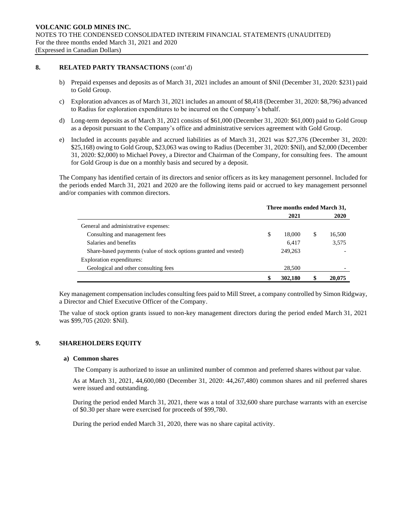## **8. RELATED PARTY TRANSACTIONS** (cont'd)

- b) Prepaid expenses and deposits as of March 31, 2021 includes an amount of \$Nil (December 31, 2020: \$231) paid to Gold Group.
- c) Exploration advances as of March 31, 2021 includes an amount of \$8,418 (December 31, 2020: \$8,796) advanced to Radius for exploration expenditures to be incurred on the Company's behalf.
- d) Long-term deposits as of March 31, 2021 consists of \$61,000 (December 31, 2020: \$61,000) paid to Gold Group as a deposit pursuant to the Company's office and administrative services agreement with Gold Group.
- e) Included in accounts payable and accrued liabilities as of March 31, 2021 was \$27,376 (December 31, 2020: \$25,168) owing to Gold Group, \$23,063 was owing to Radius (December 31, 2020: \$Nil), and \$2,000 (December 31, 2020: \$2,000) to Michael Povey, a Director and Chairman of the Company, for consulting fees. The amount for Gold Group is due on a monthly basis and secured by a deposit.

The Company has identified certain of its directors and senior officers as its key management personnel. Included for the periods ended March 31, 2021 and 2020 are the following items paid or accrued to key management personnel and/or companies with common directors.

|                                                                  | Three months ended March 31, |         |   |        |
|------------------------------------------------------------------|------------------------------|---------|---|--------|
|                                                                  |                              | 2021    |   | 2020   |
| General and administrative expenses:                             |                              |         |   |        |
| Consulting and management fees                                   | \$                           | 18,000  | S | 16,500 |
| Salaries and benefits                                            |                              | 6,417   |   | 3,575  |
| Share-based payments (value of stock options granted and vested) |                              | 249,263 |   |        |
| Exploration expenditures:                                        |                              |         |   |        |
| Geological and other consulting fees                             |                              | 28,500  |   |        |
|                                                                  | S                            | 302,180 |   | 20,075 |

Key management compensation includes consulting fees paid to Mill Street, a company controlled by Simon Ridgway, a Director and Chief Executive Officer of the Company.

The value of stock option grants issued to non-key management directors during the period ended March 31, 2021 was \$99,705 (2020: \$Nil).

## **9. SHAREHOLDERS EQUITY**

## **a) Common shares**

The Company is authorized to issue an unlimited number of common and preferred shares without par value.

As at March 31, 2021, 44,600,080 (December 31, 2020: 44,267,480) common shares and nil preferred shares were issued and outstanding.

During the period ended March 31, 2021, there was a total of 332,600 share purchase warrants with an exercise of \$0.30 per share were exercised for proceeds of \$99,780.

During the period ended March 31, 2020, there was no share capital activity.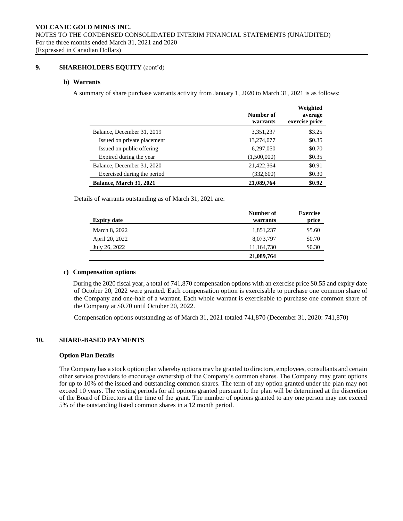## **9. SHAREHOLDERS EQUITY** (cont'd)

## **b) Warrants**

A summary of share purchase warrants activity from January 1, 2020 to March 31, 2021 is as follows:

|                                | Number of<br>warrants | Weighted<br>average<br>exercise price |
|--------------------------------|-----------------------|---------------------------------------|
| Balance, December 31, 2019     | 3,351,237             | \$3.25                                |
| Issued on private placement    | 13,274,077            | \$0.35                                |
| Issued on public offering      | 6,297,050             | \$0.70                                |
| Expired during the year        | (1,500,000)           | \$0.35                                |
| Balance, December 31, 2020     | 21,422,364            | \$0.91                                |
| Exercised during the period    | (332,600)             | \$0.30                                |
| <b>Balance, March 31, 2021</b> | 21,089,764            | \$0.92                                |

Details of warrants outstanding as of March 31, 2021 are:

| <b>Expiry date</b> | Number of<br>warrants | <b>Exercise</b><br>price |
|--------------------|-----------------------|--------------------------|
| March 8, 2022      | 1,851,237             | \$5.60                   |
| April 20, 2022     | 8,073,797             | \$0.70                   |
| July 26, 2022      | 11,164,730            | \$0.30                   |
|                    | 21,089,764            |                          |

## **c) Compensation options**

During the 2020 fiscal year, a total of 741,870 compensation options with an exercise price \$0.55 and expiry date of October 20, 2022 were granted. Each compensation option is exercisable to purchase one common share of the Company and one-half of a warrant. Each whole warrant is exercisable to purchase one common share of the Company at \$0.70 until October 20, 2022.

Compensation options outstanding as of March 31, 2021 totaled 741,870 (December 31, 2020: 741,870)

## **10. SHARE-BASED PAYMENTS**

## **Option Plan Details**

The Company has a stock option plan whereby options may be granted to directors, employees, consultants and certain other service providers to encourage ownership of the Company's common shares. The Company may grant options for up to 10% of the issued and outstanding common shares. The term of any option granted under the plan may not exceed 10 years. The vesting periods for all options granted pursuant to the plan will be determined at the discretion of the Board of Directors at the time of the grant. The number of options granted to any one person may not exceed 5% of the outstanding listed common shares in a 12 month period.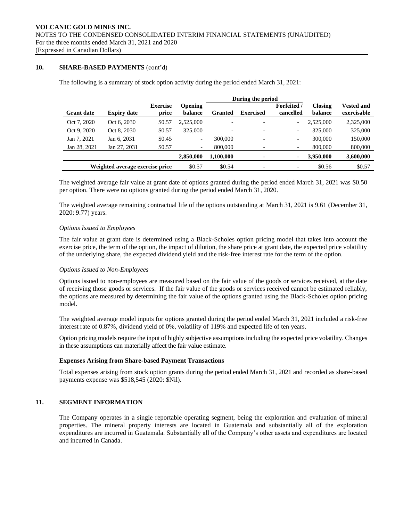# **10. SHARE-BASED PAYMENTS** (cont'd)

The following is a summary of stock option activity during the period ended March 31, 2021:

|                   |                                 |                          | During the period         |                |                          |                                 |                           |                                  |  |  |
|-------------------|---------------------------------|--------------------------|---------------------------|----------------|--------------------------|---------------------------------|---------------------------|----------------------------------|--|--|
| <b>Grant date</b> | <b>Expiry date</b>              | <b>Exercise</b><br>price | <b>Opening</b><br>balance | <b>Granted</b> | <b>Exercised</b>         | <b>Forfeited</b> /<br>cancelled | <b>Closing</b><br>balance | <b>Vested and</b><br>exercisable |  |  |
| Oct 7, 2020       | Oct 6, 2030                     | \$0.57                   | 2,525,000                 |                | $\overline{\phantom{0}}$ | $\overline{\phantom{a}}$        | 2.525,000                 | 2,325,000                        |  |  |
| Oct 9, 2020       | Oct 8, 2030                     | \$0.57                   | 325,000                   |                | $\overline{a}$           | $\overline{\phantom{a}}$        | 325,000                   | 325,000                          |  |  |
| Jan 7, 2021       | Jan 6, 2031                     | \$0.45                   | $\overline{\phantom{a}}$  | 300,000        | $\overline{\phantom{0}}$ | $\overline{\phantom{a}}$        | 300,000                   | 150,000                          |  |  |
| Jan 28, 2021      | Jan 27, 2031                    | \$0.57                   | $\overline{\phantom{a}}$  | 800,000        | $\overline{\phantom{a}}$ | $\overline{\phantom{a}}$        | 800,000                   | 800,000                          |  |  |
|                   |                                 |                          | 2,850,000                 | 1,100,000      | ٠                        |                                 | 3,950,000                 | 3,600,000                        |  |  |
|                   | Weighted average exercise price |                          | \$0.57                    | \$0.54         |                          |                                 | \$0.56                    | \$0.57                           |  |  |

The weighted average fair value at grant date of options granted during the period ended March 31, 2021 was \$0.50 per option. There were no options granted during the period ended March 31, 2020.

The weighted average remaining contractual life of the options outstanding at March 31, 2021 is 9.61 (December 31, 2020: 9.77) years.

## *Options Issued to Employees*

The fair value at grant date is determined using a Black-Scholes option pricing model that takes into account the exercise price, the term of the option, the impact of dilution, the share price at grant date, the expected price volatility of the underlying share, the expected dividend yield and the risk-free interest rate for the term of the option.

## *Options Issued to Non-Employees*

Options issued to non-employees are measured based on the fair value of the goods or services received, at the date of receiving those goods or services. If the fair value of the goods or services received cannot be estimated reliably, the options are measured by determining the fair value of the options granted using the Black-Scholes option pricing model.

The weighted average model inputs for options granted during the period ended March 31, 2021 included a risk-free interest rate of 0.87%, dividend yield of 0%, volatility of 119% and expected life of ten years.

Option pricing models require the input of highly subjective assumptions including the expected price volatility. Changes in these assumptions can materially affect the fair value estimate.

## **Expenses Arising from Share-based Payment Transactions**

Total expenses arising from stock option grants during the period ended March 31, 2021 and recorded as share-based payments expense was \$518,545 (2020: \$Nil).

## **11. SEGMENT INFORMATION**

The Company operates in a single reportable operating segment, being the exploration and evaluation of mineral properties. The mineral property interests are located in Guatemala and substantially all of the exploration expenditures are incurred in Guatemala. Substantially all of the Company's other assets and expenditures are located and incurred in Canada.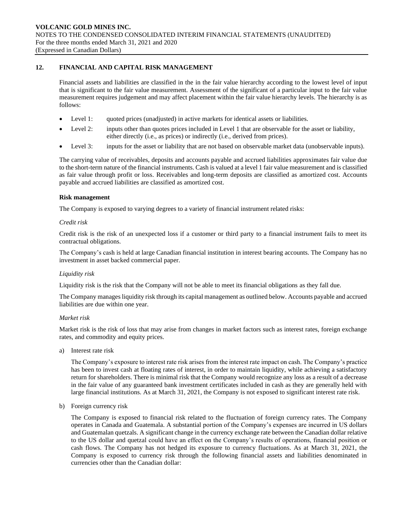## **12. FINANCIAL AND CAPITAL RISK MANAGEMENT**

Financial assets and liabilities are classified in the in the fair value hierarchy according to the lowest level of input that is significant to the fair value measurement. Assessment of the significant of a particular input to the fair value measurement requires judgement and may affect placement within the fair value hierarchy levels. The hierarchy is as follows:

- Level 1: quoted prices (unadjusted) in active markets for identical assets or liabilities.
- Level 2: inputs other than quotes prices included in Level 1 that are observable for the asset or liability, either directly (i.e., as prices) or indirectly (i.e., derived from prices).
- Level 3: inputs for the asset or liability that are not based on observable market data (unobservable inputs).

The carrying value of receivables, deposits and accounts payable and accrued liabilities approximates fair value due to the short-term nature of the financial instruments. Cash is valued at a level 1 fair value measurement and is classified as fair value through profit or loss. Receivables and long-term deposits are classified as amortized cost. Accounts payable and accrued liabilities are classified as amortized cost.

#### **Risk management**

The Company is exposed to varying degrees to a variety of financial instrument related risks:

#### *Credit risk*

Credit risk is the risk of an unexpected loss if a customer or third party to a financial instrument fails to meet its contractual obligations.

The Company's cash is held at large Canadian financial institution in interest bearing accounts. The Company has no investment in asset backed commercial paper.

## *Liquidity risk*

Liquidity risk is the risk that the Company will not be able to meet its financial obligations as they fall due.

The Company manages liquidity risk through its capital management as outlined below. Accounts payable and accrued liabilities are due within one year.

## *Market risk*

Market risk is the risk of loss that may arise from changes in market factors such as interest rates, foreign exchange rates, and commodity and equity prices.

a) Interest rate risk

The Company's exposure to interest rate risk arises from the interest rate impact on cash. The Company's practice has been to invest cash at floating rates of interest, in order to maintain liquidity, while achieving a satisfactory return for shareholders. There is minimal risk that the Company would recognize any loss as a result of a decrease in the fair value of any guaranteed bank investment certificates included in cash as they are generally held with large financial institutions. As at March 31, 2021, the Company is not exposed to significant interest rate risk.

b) Foreign currency risk

The Company is exposed to financial risk related to the fluctuation of foreign currency rates. The Company operates in Canada and Guatemala. A substantial portion of the Company's expenses are incurred in US dollars and Guatemalan quetzals. A significant change in the currency exchange rate between the Canadian dollar relative to the US dollar and quetzal could have an effect on the Company's results of operations, financial position or cash flows. The Company has not hedged its exposure to currency fluctuations. As at March 31, 2021, the Company is exposed to currency risk through the following financial assets and liabilities denominated in currencies other than the Canadian dollar: